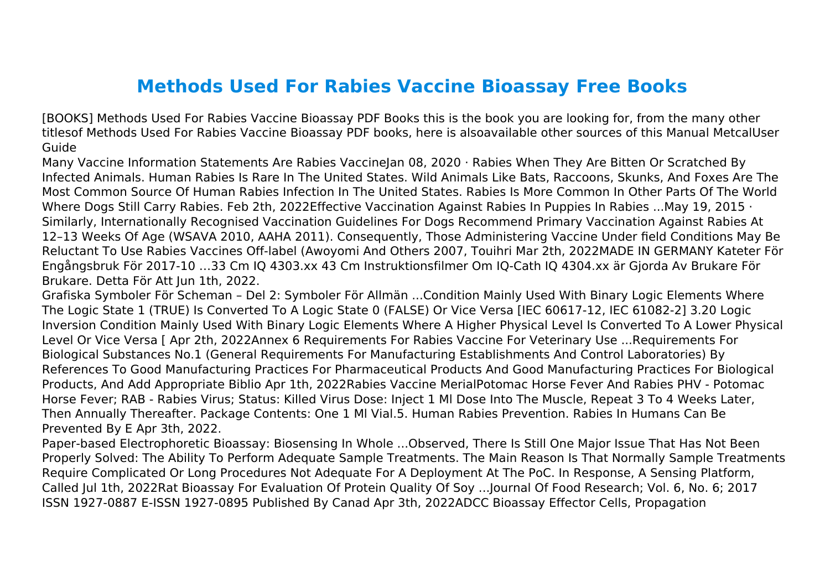## **Methods Used For Rabies Vaccine Bioassay Free Books**

[BOOKS] Methods Used For Rabies Vaccine Bioassay PDF Books this is the book you are looking for, from the many other titlesof Methods Used For Rabies Vaccine Bioassay PDF books, here is alsoavailable other sources of this Manual MetcalUser Guide

Many Vaccine Information Statements Are Rabies VaccineJan 08, 2020 · Rabies When They Are Bitten Or Scratched By Infected Animals. Human Rabies Is Rare In The United States. Wild Animals Like Bats, Raccoons, Skunks, And Foxes Are The Most Common Source Of Human Rabies Infection In The United States. Rabies Is More Common In Other Parts Of The World Where Dogs Still Carry Rabies. Feb 2th, 2022Effective Vaccination Against Rabies In Puppies In Rabies ...May 19, 2015 · Similarly, Internationally Recognised Vaccination Guidelines For Dogs Recommend Primary Vaccination Against Rabies At 12–13 Weeks Of Age (WSAVA 2010, AAHA 2011). Consequently, Those Administering Vaccine Under field Conditions May Be Reluctant To Use Rabies Vaccines Off-label (Awoyomi And Others 2007, Touihri Mar 2th, 2022MADE IN GERMANY Kateter För Engångsbruk För 2017-10 …33 Cm IQ 4303.xx 43 Cm Instruktionsfilmer Om IQ-Cath IQ 4304.xx är Gjorda Av Brukare För Brukare. Detta För Att Jun 1th, 2022.

Grafiska Symboler För Scheman – Del 2: Symboler För Allmän ...Condition Mainly Used With Binary Logic Elements Where The Logic State 1 (TRUE) Is Converted To A Logic State 0 (FALSE) Or Vice Versa [IEC 60617-12, IEC 61082-2] 3.20 Logic Inversion Condition Mainly Used With Binary Logic Elements Where A Higher Physical Level Is Converted To A Lower Physical Level Or Vice Versa [ Apr 2th, 2022Annex 6 Requirements For Rabies Vaccine For Veterinary Use ...Requirements For Biological Substances No.1 (General Requirements For Manufacturing Establishments And Control Laboratories) By References To Good Manufacturing Practices For Pharmaceutical Products And Good Manufacturing Practices For Biological Products, And Add Appropriate Biblio Apr 1th, 2022Rabies Vaccine MerialPotomac Horse Fever And Rabies PHV - Potomac Horse Fever; RAB - Rabies Virus; Status: Killed Virus Dose: Inject 1 Ml Dose Into The Muscle, Repeat 3 To 4 Weeks Later, Then Annually Thereafter. Package Contents: One 1 Ml Vial.5. Human Rabies Prevention. Rabies In Humans Can Be Prevented By E Apr 3th, 2022.

Paper-based Electrophoretic Bioassay: Biosensing In Whole ...Observed, There Is Still One Major Issue That Has Not Been Properly Solved: The Ability To Perform Adequate Sample Treatments. The Main Reason Is That Normally Sample Treatments Require Complicated Or Long Procedures Not Adequate For A Deployment At The PoC. In Response, A Sensing Platform, Called Jul 1th, 2022Rat Bioassay For Evaluation Of Protein Quality Of Soy ...Journal Of Food Research; Vol. 6, No. 6; 2017 ISSN 1927-0887 E-ISSN 1927-0895 Published By Canad Apr 3th, 2022ADCC Bioassay Effector Cells, Propagation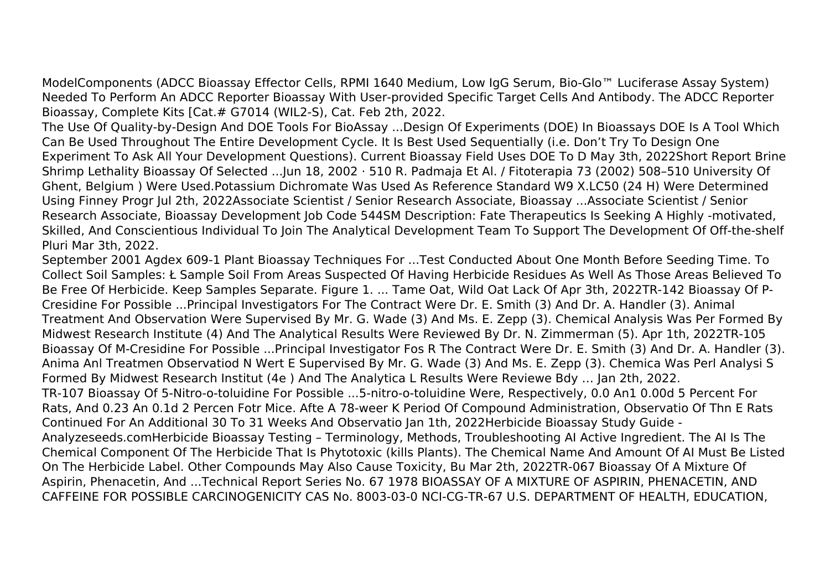ModelComponents (ADCC Bioassay Effector Cells, RPMI 1640 Medium, Low IgG Serum, Bio-Glo™ Luciferase Assay System) Needed To Perform An ADCC Reporter Bioassay With User-provided Specific Target Cells And Antibody. The ADCC Reporter Bioassay, Complete Kits [Cat.# G7014 (WIL2-S), Cat. Feb 2th, 2022.

The Use Of Quality-by-Design And DOE Tools For BioAssay ...Design Of Experiments (DOE) In Bioassays DOE Is A Tool Which Can Be Used Throughout The Entire Development Cycle. It Is Best Used Sequentially (i.e. Don't Try To Design One Experiment To Ask All Your Development Questions). Current Bioassay Field Uses DOE To D May 3th, 2022Short Report Brine Shrimp Lethality Bioassay Of Selected ...Jun 18, 2002 · 510 R. Padmaja Et Al. / Fitoterapia 73 (2002) 508–510 University Of Ghent, Belgium ) Were Used.Potassium Dichromate Was Used As Reference Standard W9 X.LC50 (24 H) Were Determined Using Finney Progr Jul 2th, 2022Associate Scientist / Senior Research Associate, Bioassay ...Associate Scientist / Senior Research Associate, Bioassay Development Job Code 544SM Description: Fate Therapeutics Is Seeking A Highly -motivated, Skilled, And Conscientious Individual To Join The Analytical Development Team To Support The Development Of Off-the-shelf Pluri Mar 3th, 2022.

September 2001 Agdex 609-1 Plant Bioassay Techniques For ...Test Conducted About One Month Before Seeding Time. To Collect Soil Samples: Ł Sample Soil From Areas Suspected Of Having Herbicide Residues As Well As Those Areas Believed To Be Free Of Herbicide. Keep Samples Separate. Figure 1. ... Tame Oat, Wild Oat Lack Of Apr 3th, 2022TR-142 Bioassay Of P-Cresidine For Possible ...Principal Investigators For The Contract Were Dr. E. Smith (3) And Dr. A. Handler (3). Animal Treatment And Observation Were Supervised By Mr. G. Wade (3) And Ms. E. Zepp (3). Chemical Analysis Was Per Formed By Midwest Research Institute (4) And The Analytical Results Were Reviewed By Dr. N. Zimmerman (5). Apr 1th, 2022TR-105 Bioassay Of M-Cresidine For Possible ...Principal Investigator Fos R The Contract Were Dr. E. Smith (3) And Dr. A. Handler (3). Anima Anl Treatmen Observatiod N Wert E Supervised By Mr. G. Wade (3) And Ms. E. Zepp (3). Chemica Was Perl Analysi S Formed By Midwest Research Institut (4e ) And The Analytica L Results Were Reviewe Bdy … Jan 2th, 2022. TR-107 Bioassay Of 5-Nitro-o-toluidine For Possible ...5-nitro-o-toluidine Were, Respectively, 0.0 An1 0.00d 5 Percent For Rats, And 0.23 An 0.1d 2 Percen Fotr Mice. Afte A 78-weer K Period Of Compound Administration, Observatio Of Thn E Rats Continued For An Additional 30 To 31 Weeks And Observatio Jan 1th, 2022Herbicide Bioassay Study Guide - Analyzeseeds.comHerbicide Bioassay Testing – Terminology, Methods, Troubleshooting AI Active Ingredient. The AI Is The Chemical Component Of The Herbicide That Is Phytotoxic (kills Plants). The Chemical Name And Amount Of AI Must Be Listed On The Herbicide Label. Other Compounds May Also Cause Toxicity, Bu Mar 2th, 2022TR-067 Bioassay Of A Mixture Of Aspirin, Phenacetin, And ...Technical Report Series No. 67 1978 BIOASSAY OF A MIXTURE OF ASPIRIN, PHENACETIN, AND CAFFEINE FOR POSSIBLE CARCINOGENICITY CAS No. 8003-03-0 NCI-CG-TR-67 U.S. DEPARTMENT OF HEALTH, EDUCATION,